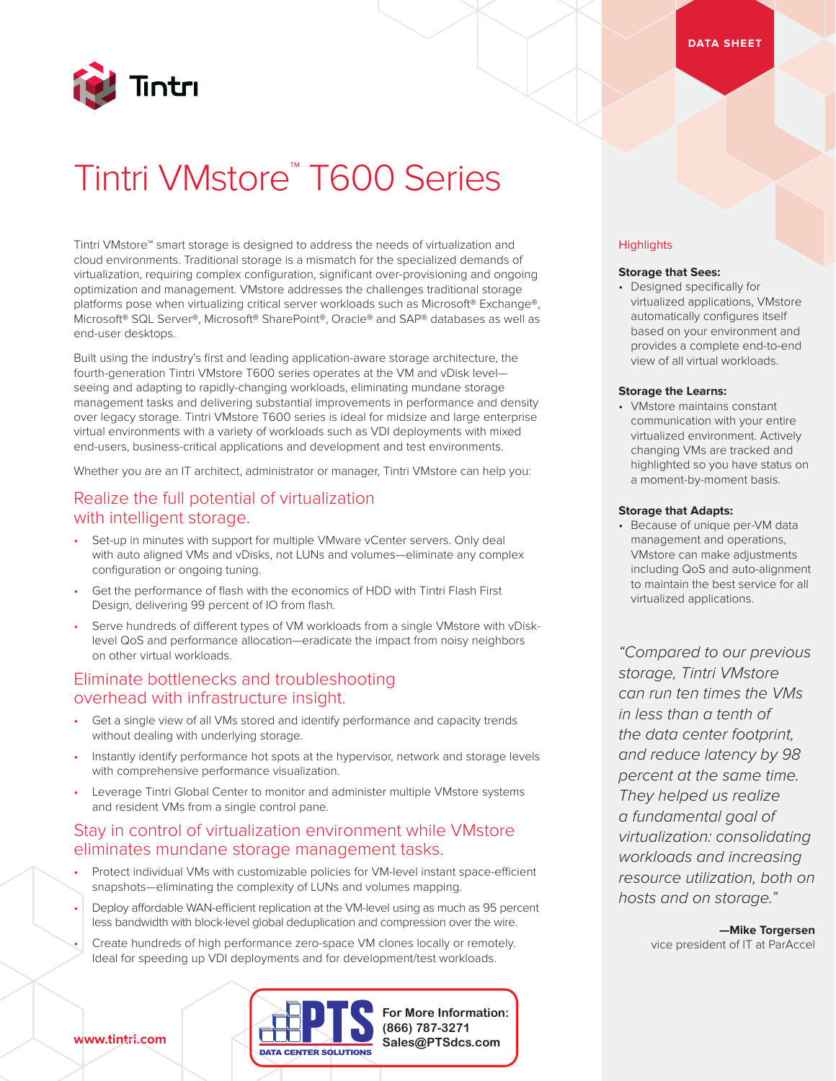

# Tintri VMstore™ T600 Series

Tintri VMstore™ smart storage is designed to address the needs of virtualization and cloud environments. Traditional storage is a mismatch for the specialized demands of virtualization, requiring complex configuration, significant over-provisioning and ongoing optimization and management. VMstore addresses the challenges traditional storage platforms pose when virtualizing critical server workloads such as Microsoft® Exchange®, Microsoft® SQL Server®, Microsoft® SharePoint®, Oracle® and SAP® databases as well as end-user desktops.

Built using the industry's first and leading application-aware storage architecture, the fourth-generation Tintri VMstore T600 series operates at the VM and vDisk level seeing and adapting to rapidly-changing workloads, eliminating mundane storage management tasks and delivering substantial improvements in performance and density over legacy storage. Tintri VMstore T600 series is ideal for midsize and large enterprise virtual environments with a variety of workloads such as VDI deployments with mixed end-users, business-critical applications and development and test environments.

Whether you are an IT architect, administrator or manager, Tintri VMstore can help you:

## Realize the full potential of virtualization with intelligent storage.

- Set-up in minutes with support for multiple VMware vCenter servers. Only deal with auto aligned VMs and vDisks, not LUNs and volumes—eliminate any complex configuration or ongoing tuning.
- Get the performance of flash with the economics of HDD with Tintri Flash First Design, delivering 99 percent of IO from flash.
- Serve hundreds of different types of VM workloads from a single VMstore with vDisklevel QoS and performance allocation—eradicate the impact from noisy neighbors on other virtual workloads.

# Eliminate bottlenecks and troubleshooting overhead with infrastructure insight.

- Get a single view of all VMs stored and identify performance and capacity trends without dealing with underlying storage.
- Instantly identify performance hot spots at the hypervisor, network and storage levels with comprehensive performance visualization.
- Leverage Tintri Global Center to monitor and administer multiple VMstore systems and resident VMs from a single control pane.

### Stay in control of virtualization environment while VMstore eliminates mundane storage management tasks.

- Protect individual VMs with customizable policies for VM-level instant space-efficient snapshots—eliminating the complexity of LUNs and volumes mapping.
- Deploy affordable WAN-efficient replication at the VM-level using as much as 95 percent less bandwidth with block-level global deduplication and compression over the wire.
- Create hundreds of high performance zero-space VM clones locally or remotely. Ideal for speeding up VDI deployments and for development/test workloads.



#### **Highlights**

#### **Storage that Sees:**

• Designed specifically for virtualized applications, VMstore automatically configures itself based on your environment and provides a complete end-to-end view of all virtual workloads.

#### **Storage the Learns:**

• VMstore maintains constant communication with your entire virtualized environment. Actively changing VMs are tracked and highlighted so you have status on a moment-by-moment basis.

#### **Storage that Adapts:**

• Because of unique per-VM data management and operations, VMstore can make adjustments including QoS and auto-alignment to maintain the best service for all virtualized applications.

*"Compared to our previous storage, Tintri VMstore can run ten times the VMs in less than a tenth of the data center footprint, and reduce latency by 98 percent at the same time. They helped us realize a fundamental goal of virtualization: consolidating workloads and increasing resource utilization, both on hosts and on storage."*

> **—Mike Torgersen** vice president of IT at ParAccel

**www.tintri.com**